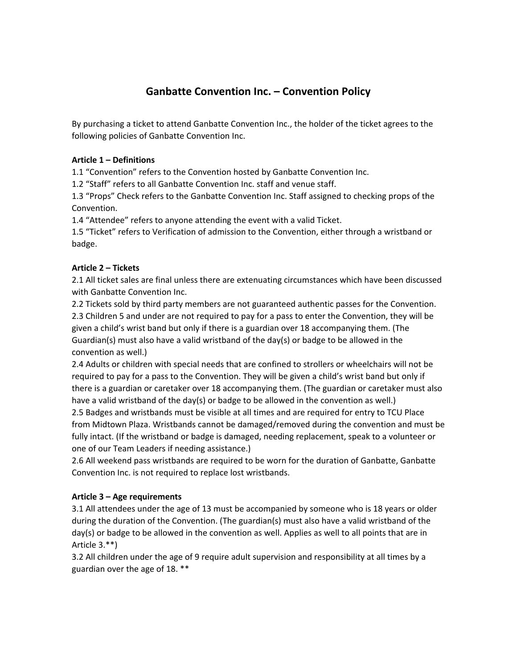# **Ganbatte Convention Inc. – Convention Policy**

By purchasing a ticket to attend Ganbatte Convention Inc., the holder of the ticket agrees to the following policies of Ganbatte Convention Inc.

## **Article 1 – Definitions**

1.1 "Convention" refers to the Convention hosted by Ganbatte Convention Inc.

1.2 "Staff" refers to all Ganbatte Convention Inc. staff and venue staff.

1.3 "Props" Check refers to the Ganbatte Convention Inc. Staff assigned to checking props of the Convention.

1.4 "Attendee" refers to anyone attending the event with a valid Ticket.

1.5 "Ticket" refers to Verification of admission to the Convention, either through a wristband or badge.

# **Article 2 – Tickets**

2.1 All ticket sales are final unless there are extenuating circumstances which have been discussed with Ganbatte Convention Inc.

2.2 Tickets sold by third party members are not guaranteed authentic passes for the Convention. 2.3 Children 5 and under are not required to pay for a pass to enter the Convention, they will be given a child's wrist band but only if there is a guardian over 18 accompanying them. (The Guardian(s) must also have a valid wristband of the day(s) or badge to be allowed in the convention as well.)

2.4 Adults or children with special needs that are confined to strollers or wheelchairs will not be required to pay for a pass to the Convention. They will be given a child's wrist band but only if there is a guardian or caretaker over 18 accompanying them. (The guardian or caretaker must also have a valid wristband of the day(s) or badge to be allowed in the convention as well.)

2.5 Badges and wristbands must be visible at all times and are required for entry to TCU Place from Midtown Plaza. Wristbands cannot be damaged/removed during the convention and must be fully intact. (If the wristband or badge is damaged, needing replacement, speak to a volunteer or one of our Team Leaders if needing assistance.)

2.6 All weekend pass wristbands are required to be worn for the duration of Ganbatte, Ganbatte Convention Inc. is not required to replace lost wristbands.

# **Article 3 – Age requirements**

3.1 All attendees under the age of 13 must be accompanied by someone who is 18 years or older during the duration of the Convention. (The guardian(s) must also have a valid wristband of the day(s) or badge to be allowed in the convention as well. Applies as well to all points that are in Article 3.\*\*)

3.2 All children under the age of 9 require adult supervision and responsibility at all times by a guardian over the age of 18. \*\*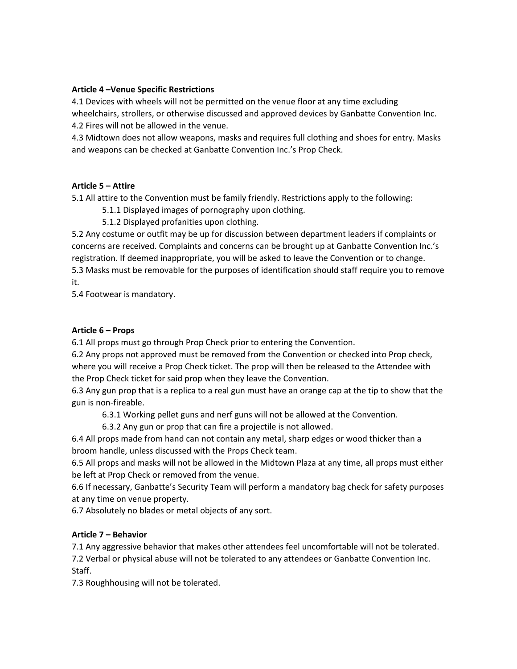## **Article 4 –Venue Specific Restrictions**

4.1 Devices with wheels will not be permitted on the venue floor at any time excluding wheelchairs, strollers, or otherwise discussed and approved devices by Ganbatte Convention Inc. 4.2 Fires will not be allowed in the venue.

4.3 Midtown does not allow weapons, masks and requires full clothing and shoes for entry. Masks and weapons can be checked at Ganbatte Convention Inc.'s Prop Check.

#### **Article 5 – Attire**

5.1 All attire to the Convention must be family friendly. Restrictions apply to the following:

5.1.1 Displayed images of pornography upon clothing.

5.1.2 Displayed profanities upon clothing.

5.2 Any costume or outfit may be up for discussion between department leaders if complaints or concerns are received. Complaints and concerns can be brought up at Ganbatte Convention Inc.'s registration. If deemed inappropriate, you will be asked to leave the Convention or to change. 5.3 Masks must be removable for the purposes of identification should staff require you to remove

it.

5.4 Footwear is mandatory.

#### **Article 6 – Props**

6.1 All props must go through Prop Check prior to entering the Convention.

6.2 Any props not approved must be removed from the Convention or checked into Prop check, where you will receive a Prop Check ticket. The prop will then be released to the Attendee with the Prop Check ticket for said prop when they leave the Convention.

6.3 Any gun prop that is a replica to a real gun must have an orange cap at the tip to show that the gun is non-fireable.

6.3.1 Working pellet guns and nerf guns will not be allowed at the Convention.

6.3.2 Any gun or prop that can fire a projectile is not allowed.

6.4 All props made from hand can not contain any metal, sharp edges or wood thicker than a broom handle, unless discussed with the Props Check team.

6.5 All props and masks will not be allowed in the Midtown Plaza at any time, all props must either be left at Prop Check or removed from the venue.

6.6 If necessary, Ganbatte's Security Team will perform a mandatory bag check for safety purposes at any time on venue property.

6.7 Absolutely no blades or metal objects of any sort.

## **Article 7 – Behavior**

7.1 Any aggressive behavior that makes other attendees feel uncomfortable will not be tolerated. 7.2 Verbal or physical abuse will not be tolerated to any attendees or Ganbatte Convention Inc. Staff.

7.3 Roughhousing will not be tolerated.